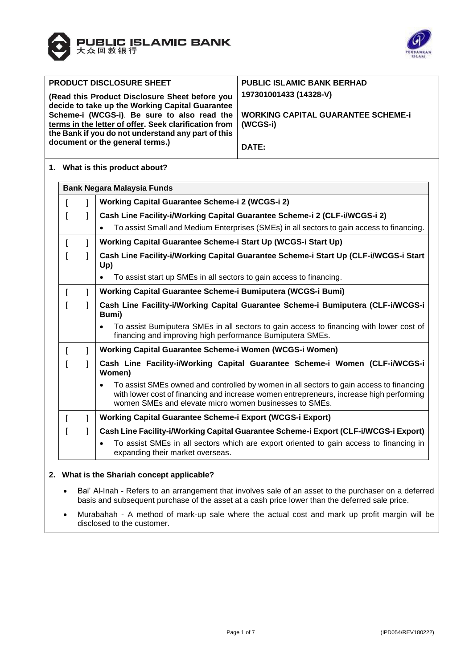



| <b>PRODUCT DISCLOSURE SHEET</b>                                                                                                                            | <b>PUBLIC ISLAMIC BANK BERHAD</b>              |
|------------------------------------------------------------------------------------------------------------------------------------------------------------|------------------------------------------------|
| (Read this Product Disclosure Sheet before you<br>decide to take up the Working Capital Guarantee                                                          | 197301001433 (14328-V)                         |
| Scheme-i (WCGS-i). Be sure to also read the<br>terms in the letter of offer. Seek clarification from<br>the Bank if you do not understand any part of this | WORKING CAPITAL GUARANTEE SCHEME-i<br>(WCGS-i) |
| document or the general terms.)                                                                                                                            | DATE:                                          |

### **1. What is this product about?**

|  | <b>Bank Negara Malaysia Funds</b>                                                                                                                                                                                                                         |  |  |  |  |  |
|--|-----------------------------------------------------------------------------------------------------------------------------------------------------------------------------------------------------------------------------------------------------------|--|--|--|--|--|
|  | Working Capital Guarantee Scheme-i 2 (WCGS-i 2)                                                                                                                                                                                                           |  |  |  |  |  |
|  | Cash Line Facility-i/Working Capital Guarantee Scheme-i 2 (CLF-i/WCGS-i 2)                                                                                                                                                                                |  |  |  |  |  |
|  | To assist Small and Medium Enterprises (SMEs) in all sectors to gain access to financing.                                                                                                                                                                 |  |  |  |  |  |
|  | Working Capital Guarantee Scheme-i Start Up (WCGS-i Start Up)                                                                                                                                                                                             |  |  |  |  |  |
|  | Cash Line Facility-i/Working Capital Guarantee Scheme-i Start Up (CLF-i/WCGS-i Start<br>Up)                                                                                                                                                               |  |  |  |  |  |
|  | To assist start up SMEs in all sectors to gain access to financing.                                                                                                                                                                                       |  |  |  |  |  |
|  | Working Capital Guarantee Scheme-i Bumiputera (WCGS-i Bumi)                                                                                                                                                                                               |  |  |  |  |  |
|  | Cash Line Facility-i/Working Capital Guarantee Scheme-i Bumiputera (CLF-i/WCGS-i<br>Bumi)                                                                                                                                                                 |  |  |  |  |  |
|  | To assist Bumiputera SMEs in all sectors to gain access to financing with lower cost of<br>$\bullet$<br>financing and improving high performance Bumiputera SMEs.                                                                                         |  |  |  |  |  |
|  | Working Capital Guarantee Scheme-i Women (WCGS-i Women)                                                                                                                                                                                                   |  |  |  |  |  |
|  | Cash Line Facility-i/Working Capital Guarantee Scheme-i Women (CLF-i/WCGS-i<br>Women)                                                                                                                                                                     |  |  |  |  |  |
|  | To assist SMEs owned and controlled by women in all sectors to gain access to financing<br>$\bullet$<br>with lower cost of financing and increase women entrepreneurs, increase high performing<br>women SMEs and elevate micro women businesses to SMEs. |  |  |  |  |  |
|  | Working Capital Guarantee Scheme-i Export (WCGS-i Export)                                                                                                                                                                                                 |  |  |  |  |  |
|  | Cash Line Facility-i/Working Capital Guarantee Scheme-i Export (CLF-i/WCGS-i Export)                                                                                                                                                                      |  |  |  |  |  |
|  | To assist SMEs in all sectors which are export oriented to gain access to financing in<br>expanding their market overseas.                                                                                                                                |  |  |  |  |  |

# **2. What is the Shariah concept applicable?**

- Bai' Al-Inah Refers to an arrangement that involves sale of an asset to the purchaser on a deferred basis and subsequent purchase of the asset at a cash price lower than the deferred sale price.
- Murabahah A method of mark-up sale where the actual cost and mark up profit margin will be disclosed to the customer.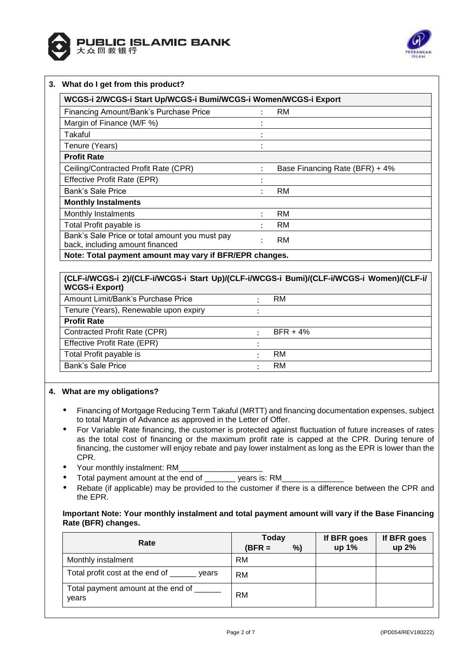



#### **3. What do I get from this product?**

| WCGS-i 2/WCGS-i Start Up/WCGS-i Bumi/WCGS-i Women/WCGS-i Export                   |                      |                                |  |  |  |
|-----------------------------------------------------------------------------------|----------------------|--------------------------------|--|--|--|
| Financing Amount/Bank's Purchase Price                                            |                      | <b>RM</b>                      |  |  |  |
| Margin of Finance (M/F %)                                                         |                      |                                |  |  |  |
| Takaful                                                                           | ٠                    |                                |  |  |  |
| Tenure (Years)                                                                    | ٠<br>$\bullet$       |                                |  |  |  |
| <b>Profit Rate</b>                                                                |                      |                                |  |  |  |
| Ceiling/Contracted Profit Rate (CPR)                                              | ÷                    | Base Financing Rate (BFR) + 4% |  |  |  |
| Effective Profit Rate (EPR)                                                       |                      |                                |  |  |  |
| Bank's Sale Price                                                                 | ٠                    | <b>RM</b>                      |  |  |  |
| <b>Monthly Instalments</b>                                                        |                      |                                |  |  |  |
| Monthly Instalments                                                               | $\ddot{\phantom{a}}$ | <b>RM</b>                      |  |  |  |
| Total Profit payable is                                                           | ÷                    | <b>RM</b>                      |  |  |  |
| Bank's Sale Price or total amount you must pay<br>back, including amount financed | ٠                    | <b>RM</b>                      |  |  |  |
| Note: Total payment amount may vary if BFR/EPR changes.                           |                      |                                |  |  |  |

#### **(CLF-i/WCGS-i 2)/(CLF-i/WCGS-i Start Up)/(CLF-i/WCGS-i Bumi)/(CLF-i/WCGS-i Women)/(CLF-i/ WCGS-i Export)**

| ""YYYY" LAPV!!                        |            |
|---------------------------------------|------------|
| Amount Limit/Bank's Purchase Price    | RM         |
| Tenure (Years), Renewable upon expiry |            |
| <b>Profit Rate</b>                    |            |
| Contracted Profit Rate (CPR)          | $BFR + 4%$ |
| Effective Profit Rate (EPR)           |            |
| Total Profit payable is               | RM         |
| Bank's Sale Price                     | RM         |
|                                       |            |

#### **4. What are my obligations?**

- Financing of Mortgage Reducing Term Takaful (MRTT) and financing documentation expenses, subject to total Margin of Advance as approved in the Letter of Offer.
- For Variable Rate financing, the customer is protected against fluctuation of future increases of rates as the total cost of financing or the maximum profit rate is capped at the CPR. During tenure of financing, the customer will enjoy rebate and pay lower instalment as long as the EPR is lower than the CPR.
- Your monthly instalment: RM
- Total payment amount at the end of \_\_\_\_\_\_\_\_\_\_ years is: RM\_
- Rebate (if applicable) may be provided to the customer if there is a difference between the CPR and the EPR.

## **Important Note: Your monthly instalment and total payment amount will vary if the Base Financing Rate (BFR) changes.**

| Rate                                        | Today     |    | If BFR goes | If BFR goes |
|---------------------------------------------|-----------|----|-------------|-------------|
|                                             | $(BFR =$  | %) | up 1%       | up 2%       |
| Monthly instalment                          | <b>RM</b> |    |             |             |
| Total profit cost at the end of<br>vears    | RM        |    |             |             |
| Total payment amount at the end of<br>vears | <b>RM</b> |    |             |             |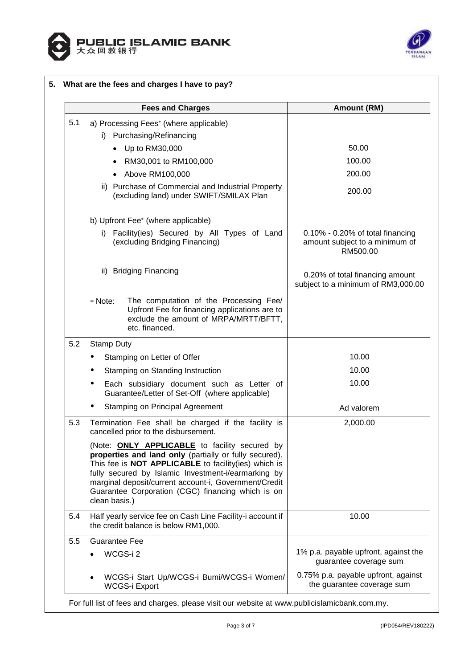



|     |                   | <b>Fees and Charges</b>                                                                                                                                                                                                                                                                                                                     | <b>Amount (RM)</b>                                                                |
|-----|-------------------|---------------------------------------------------------------------------------------------------------------------------------------------------------------------------------------------------------------------------------------------------------------------------------------------------------------------------------------------|-----------------------------------------------------------------------------------|
| 5.1 |                   | a) Processing Fees* (where applicable)                                                                                                                                                                                                                                                                                                      |                                                                                   |
|     |                   | i) Purchasing/Refinancing                                                                                                                                                                                                                                                                                                                   |                                                                                   |
|     |                   | • Up to RM30,000                                                                                                                                                                                                                                                                                                                            | 50.00                                                                             |
|     |                   | RM30,001 to RM100,000                                                                                                                                                                                                                                                                                                                       | 100.00                                                                            |
|     |                   | • Above RM100,000                                                                                                                                                                                                                                                                                                                           | 200.00                                                                            |
|     |                   | ii) Purchase of Commercial and Industrial Property<br>(excluding land) under SWIFT/SMILAX Plan                                                                                                                                                                                                                                              | 200.00                                                                            |
|     |                   | b) Upfront Fee* (where applicable)                                                                                                                                                                                                                                                                                                          |                                                                                   |
|     | i).               | Facility(ies) Secured by All Types of Land<br>(excluding Bridging Financing)                                                                                                                                                                                                                                                                | $0.10\%$ - 0.20% of total financing<br>amount subject to a minimum of<br>RM500.00 |
|     | ii).              | <b>Bridging Financing</b>                                                                                                                                                                                                                                                                                                                   | 0.20% of total financing amount<br>subject to a minimum of RM3,000.00             |
|     | * Note:           | The computation of the Processing Fee/<br>Upfront Fee for financing applications are to<br>exclude the amount of MRPA/MRTT/BFTT,<br>etc. financed.                                                                                                                                                                                          |                                                                                   |
| 5.2 | <b>Stamp Duty</b> |                                                                                                                                                                                                                                                                                                                                             |                                                                                   |
|     |                   | Stamping on Letter of Offer                                                                                                                                                                                                                                                                                                                 | 10.00                                                                             |
|     |                   | Stamping on Standing Instruction                                                                                                                                                                                                                                                                                                            | 10.00                                                                             |
|     |                   | Each subsidiary document such as Letter of<br>Guarantee/Letter of Set-Off (where applicable)                                                                                                                                                                                                                                                | 10.00                                                                             |
|     |                   | <b>Stamping on Principal Agreement</b>                                                                                                                                                                                                                                                                                                      | Ad valorem                                                                        |
| 5.3 |                   | Termination Fee shall be charged if the facility is<br>cancelled prior to the disbursement.                                                                                                                                                                                                                                                 | 2,000.00                                                                          |
|     | clean basis.)     | (Note: <b>ONLY APPLICABLE</b> to facility secured by<br>properties and land only (partially or fully secured).<br>This fee is NOT APPLICABLE to facility(ies) which is<br>fully secured by Islamic Investment-i/earmarking by<br>marginal deposit/current account-i, Government/Credit<br>Guarantee Corporation (CGC) financing which is on |                                                                                   |
| 5.4 |                   | Half yearly service fee on Cash Line Facility-i account if<br>the credit balance is below RM1,000.                                                                                                                                                                                                                                          | 10.00                                                                             |
| 5.5 | Guarantee Fee     |                                                                                                                                                                                                                                                                                                                                             |                                                                                   |
|     |                   | WCGS-i2                                                                                                                                                                                                                                                                                                                                     | 1% p.a. payable upfront, against the                                              |
|     |                   |                                                                                                                                                                                                                                                                                                                                             | guarantee coverage sum                                                            |

For full list of fees and charges, please visit our website at [www.publicislamicbank.com.my.](http://www.publicislamicbank.com.my/)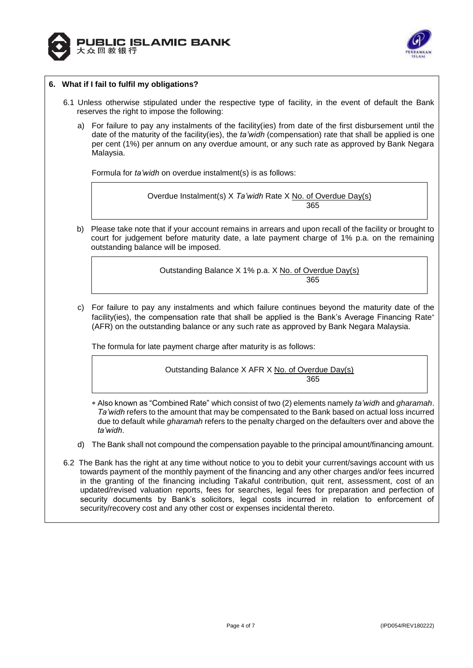



### **6. What if I fail to fulfil my obligations?**

- 6.1 Unless otherwise stipulated under the respective type of facility, in the event of default the Bank reserves the right to impose the following:
	- a) For failure to pay any instalments of the facility(ies) from date of the first disbursement until the date of the maturity of the facility(ies), the *ta'widh* (compensation) rate that shall be applied is one per cent (1%) per annum on any overdue amount, or any such rate as approved by Bank Negara Malaysia.

Formula for *ta'widh* on overdue instalment(s) is as follows:

Overdue Instalment(s) X *Ta'widh* Rate X No. of Overdue Day(s) 365

b) Please take note that if your account remains in arrears and upon recall of the facility or brought to court for judgement before maturity date, a late payment charge of 1% p.a. on the remaining outstanding balance will be imposed.

> Outstanding Balance X 1% p.a. X No. of Overdue Day(s) 365

c) For failure to pay any instalments and which failure continues beyond the maturity date of the facility(ies), the compensation rate that shall be applied is the Bank's Average Financing Rate\* (AFR) on the outstanding balance or any such rate as approved by Bank Negara Malaysia.

The formula for late payment charge after maturity is as follows:

Outstanding Balance X AFR X No. of Overdue Day(s) 365

- Also known as "Combined Rate" which consist of two (2) elements namely *ta'widh* and *gharamah*. *Ta'widh* refers to the amount that may be compensated to the Bank based on actual loss incurred due to default while *gharamah* refers to the penalty charged on the defaulters over and above the *ta'widh*.
- d) The Bank shall not compound the compensation payable to the principal amount/financing amount.
- 6.2 The Bank has the right at any time without notice to you to debit your current/savings account with us towards payment of the monthly payment of the financing and any other charges and/or fees incurred in the granting of the financing including Takaful contribution, quit rent, assessment, cost of an updated/revised valuation reports, fees for searches, legal fees for preparation and perfection of security documents by Bank's solicitors, legal costs incurred in relation to enforcement of security/recovery cost and any other cost or expenses incidental thereto.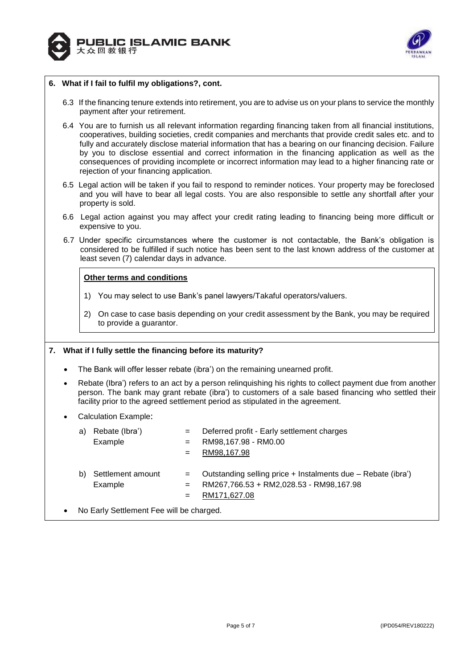



### **6. What if I fail to fulfil my obligations?, cont.**

- 6.3 If the financing tenure extends into retirement, you are to advise us on your plans to service the monthly payment after your retirement.
- 6.4 You are to furnish us all relevant information regarding financing taken from all financial institutions, cooperatives, building societies, credit companies and merchants that provide credit sales etc. and to fully and accurately disclose material information that has a bearing on our financing decision. Failure by you to disclose essential and correct information in the financing application as well as the consequences of providing incomplete or incorrect information may lead to a higher financing rate or rejection of your financing application.
- 6.5 Legal action will be taken if you fail to respond to reminder notices. Your property may be foreclosed and you will have to bear all legal costs. You are also responsible to settle any shortfall after your property is sold.
- 6.6 Legal action against you may affect your credit rating leading to financing being more difficult or expensive to you.
- 6.7 Under specific circumstances where the customer is not contactable, the Bank's obligation is considered to be fulfilled if such notice has been sent to the last known address of the customer at least seven (7) calendar days in advance.

#### **Other terms and conditions**

- 1) You may select to use Bank's panel lawyers/Takaful operators/valuers.
- 2) On case to case basis depending on your credit assessment by the Bank, you may be required to provide a guarantor.

#### **7. What if I fully settle the financing before its maturity?**

- The Bank will offer lesser rebate (ibra') on the remaining unearned profit.
- Rebate (Ibra') refers to an act by a person relinquishing his rights to collect payment due from another person. The bank may grant rebate (ibra') to customers of a sale based financing who settled their facility prior to the agreed settlement period as stipulated in the agreement.
- Calculation Example:

|           | a)                                       | Rebate (Ibra')<br>Example    | $=$<br>$=$<br>$=$ | Deferred profit - Early settlement charges<br>RM98,167.98 - RM0.00<br>RM98,167.98                                       |  |  |
|-----------|------------------------------------------|------------------------------|-------------------|-------------------------------------------------------------------------------------------------------------------------|--|--|
|           | b)                                       | Settlement amount<br>Example | $=$<br>$=$<br>$=$ | Outstanding selling price + Instalments due - Rebate (ibra')<br>RM267,766.53 + RM2,028.53 - RM98,167.98<br>RM171,627.08 |  |  |
| $\bullet$ | No Early Settlement Fee will be charged. |                              |                   |                                                                                                                         |  |  |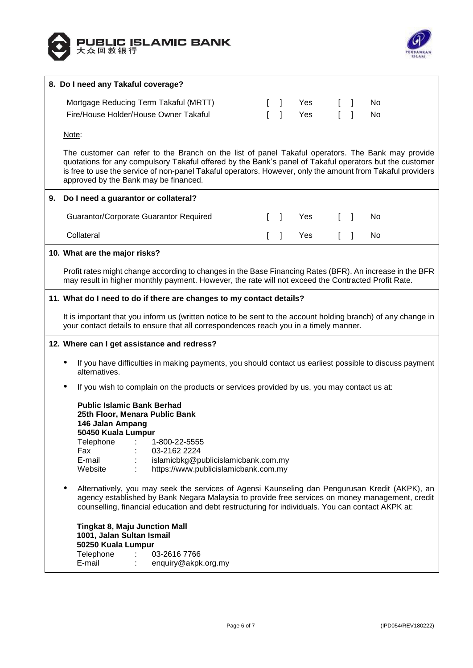



|    | 8. Do I need any Takaful coverage?                                                                                                                                                                                                                                                                                                                                  |              |                                       |     |                                       |              |    |  |
|----|---------------------------------------------------------------------------------------------------------------------------------------------------------------------------------------------------------------------------------------------------------------------------------------------------------------------------------------------------------------------|--------------|---------------------------------------|-----|---------------------------------------|--------------|----|--|
|    | Mortgage Reducing Term Takaful (MRTT)                                                                                                                                                                                                                                                                                                                               |              | $\begin{bmatrix} 1 & 1 \end{bmatrix}$ | Yes | $\begin{bmatrix} 1 & 1 \end{bmatrix}$ |              | No |  |
|    | Fire/House Holder/House Owner Takaful                                                                                                                                                                                                                                                                                                                               | $\mathbf{L}$ | $\overline{1}$                        | Yes |                                       | $\mathbf{I}$ | No |  |
|    | Note:                                                                                                                                                                                                                                                                                                                                                               |              |                                       |     |                                       |              |    |  |
|    | The customer can refer to the Branch on the list of panel Takaful operators. The Bank may provide<br>quotations for any compulsory Takaful offered by the Bank's panel of Takaful operators but the customer<br>is free to use the service of non-panel Takaful operators. However, only the amount from Takaful providers<br>approved by the Bank may be financed. |              |                                       |     |                                       |              |    |  |
| 9. | Do I need a guarantor or collateral?                                                                                                                                                                                                                                                                                                                                |              |                                       |     |                                       |              |    |  |
|    | Guarantor/Corporate Guarantor Required                                                                                                                                                                                                                                                                                                                              | L            | $\Box$                                | Yes | $\begin{bmatrix} 1 & 1 \end{bmatrix}$ |              | No |  |
|    | Collateral                                                                                                                                                                                                                                                                                                                                                          | T.           | $\mathbf{I}$                          | Yes | $\mathbf{I}$                          | $\Box$       | No |  |
|    | 10. What are the major risks?                                                                                                                                                                                                                                                                                                                                       |              |                                       |     |                                       |              |    |  |
|    | Profit rates might change according to changes in the Base Financing Rates (BFR). An increase in the BFR<br>may result in higher monthly payment. However, the rate will not exceed the Contracted Profit Rate.                                                                                                                                                     |              |                                       |     |                                       |              |    |  |
|    | 11. What do I need to do if there are changes to my contact details?                                                                                                                                                                                                                                                                                                |              |                                       |     |                                       |              |    |  |
|    | It is important that you inform us (written notice to be sent to the account holding branch) of any change in<br>your contact details to ensure that all correspondences reach you in a timely manner.                                                                                                                                                              |              |                                       |     |                                       |              |    |  |
|    | 12. Where can I get assistance and redress?                                                                                                                                                                                                                                                                                                                         |              |                                       |     |                                       |              |    |  |
|    | If you have difficulties in making payments, you should contact us earliest possible to discuss payment<br>alternatives.                                                                                                                                                                                                                                            |              |                                       |     |                                       |              |    |  |
|    | If you wish to complain on the products or services provided by us, you may contact us at:                                                                                                                                                                                                                                                                          |              |                                       |     |                                       |              |    |  |
|    | <b>Public Islamic Bank Berhad</b><br>25th Floor, Menara Public Bank<br>146 Jalan Ampang                                                                                                                                                                                                                                                                             |              |                                       |     |                                       |              |    |  |
|    | 50450 Kuala Lumpur                                                                                                                                                                                                                                                                                                                                                  |              |                                       |     |                                       |              |    |  |
|    | Telephone<br>1-800-22-5555<br>03-2162 2224<br>Fax                                                                                                                                                                                                                                                                                                                   |              |                                       |     |                                       |              |    |  |
|    | E-mail<br>islamicbkg@publicislamicbank.com.my                                                                                                                                                                                                                                                                                                                       |              |                                       |     |                                       |              |    |  |
|    | https://www.publicislamicbank.com.my<br>Website                                                                                                                                                                                                                                                                                                                     |              |                                       |     |                                       |              |    |  |
|    | Alternatively, you may seek the services of Agensi Kaunseling dan Pengurusan Kredit (AKPK), an<br>agency established by Bank Negara Malaysia to provide free services on money management, credit<br>counselling, financial education and debt restructuring for individuals. You can contact AKPK at:                                                              |              |                                       |     |                                       |              |    |  |
|    | <b>Tingkat 8, Maju Junction Mall</b>                                                                                                                                                                                                                                                                                                                                |              |                                       |     |                                       |              |    |  |
|    | 1001, Jalan Sultan Ismail<br>50250 Kuala Lumpur                                                                                                                                                                                                                                                                                                                     |              |                                       |     |                                       |              |    |  |
|    | Telephone<br>03-2616 7766                                                                                                                                                                                                                                                                                                                                           |              |                                       |     |                                       |              |    |  |
|    | E-mail<br>enquiry@akpk.org.my                                                                                                                                                                                                                                                                                                                                       |              |                                       |     |                                       |              |    |  |